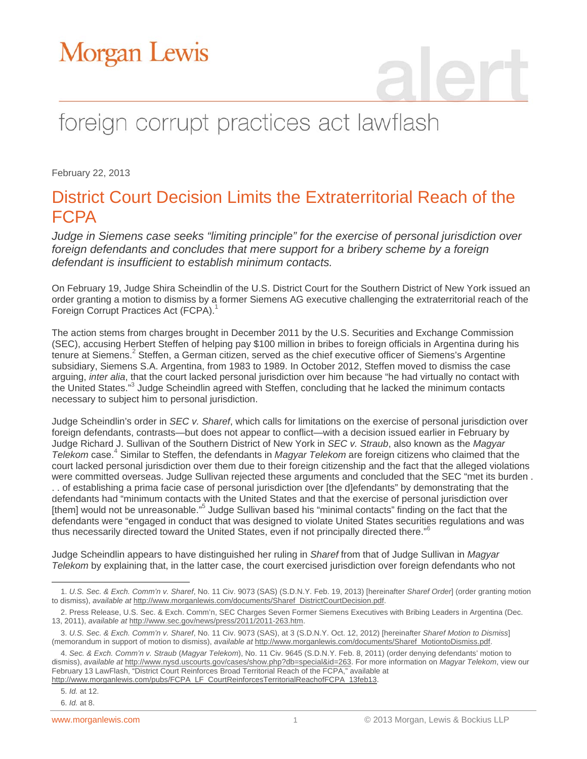## foreign corrupt practices act lawflash

February 22, 2013

### District Court Decision Limits the Extraterritorial Reach of the FCPA

*Judge in Siemens case seeks "limiting principle" for the exercise of personal jurisdiction over foreign defendants and concludes that mere support for a bribery scheme by a foreign defendant is insufficient to establish minimum contacts.* 

On February 19, Judge Shira Scheindlin of the U.S. District Court for the Southern District of New York issued an order granting a motion to dismiss by a former Siemens AG executive challenging the extraterritorial reach of the Foreign Corrupt Practices Act (FCPA).<sup>1</sup>

The action stems from charges brought in December 2011 by the U.S. Securities and Exchange Commission (SEC), accusing Herbert Steffen of helping pay \$100 million in bribes to foreign officials in Argentina during his tenure at Siemens.<sup>2</sup> Steffen, a German citizen, served as the chief executive officer of Siemens's Argentine subsidiary, Siemens S.A. Argentina, from 1983 to 1989. In October 2012, Steffen moved to dismiss the case arguing, *inter alia*, that the court lacked personal jurisdiction over him because "he had virtually no contact with the United States."<sup>3</sup> Judge Scheindlin agreed with Steffen, concluding that he lacked the minimum contacts necessary to subject him to personal jurisdiction.

Judge Scheindlin's order in *SEC v. Sharef*, which calls for limitations on the exercise of personal jurisdiction over foreign defendants, contrasts—but does not appear to conflict—with a decision issued earlier in February by Judge Richard J. Sullivan of the Southern District of New York in *SEC v. Straub*, also known as the *Magyar* Telekom case.<sup>4</sup> Similar to Steffen, the defendants in *Magyar Telekom* are foreign citizens who claimed that the court lacked personal jurisdiction over them due to their foreign citizenship and the fact that the alleged violations were committed overseas. Judge Sullivan rejected these arguments and concluded that the SEC "met its burden . . . of establishing a prima facie case of personal jurisdiction over [the d]efendants" by demonstrating that the defendants had "minimum contacts with the United States and that the exercise of personal jurisdiction over [them] would not be unreasonable."<sup>5</sup> Judge Sullivan based his "minimal contacts" finding on the fact that the defendants were "engaged in conduct that was designed to violate United States securities regulations and was thus necessarily directed toward the United States, even if not principally directed there."<sup>6</sup>

Judge Scheindlin appears to have distinguished her ruling in *Sharef* from that of Judge Sullivan in *Magyar Telekom* by explaining that, in the latter case, the court exercised jurisdiction over foreign defendants who not

6. *Id.* at 8.

 $\overline{a}$ 1. *U.S. Sec. & Exch. Comm'n v. Sharef*, No. 11 Civ. 9073 (SAS) (S.D.N.Y. Feb. 19, 2013) [hereinafter *Sharef Order*] (order granting motion to dismiss), *available at* http://www.morganlewis.com/documents/Sharef\_DistrictCourtDecision.pdf.

<sup>2.</sup> Press Release, U.S. Sec. & Exch. Comm'n, SEC Charges Seven Former Siemens Executives with Bribing Leaders in Argentina (Dec. 13, 2011), *available at* http://www.sec.gov/news/press/2011/2011-263.htm.

<sup>3.</sup> *U.S. Sec. & Exch. Comm'n v. Sharef*, No. 11 Civ. 9073 (SAS), at 3 (S.D.N.Y. Oct. 12, 2012) [hereinafter *Sharef Motion to Dismiss*] (memorandum in support of motion to dismiss), *available at* http://www.morganlewis.com/documents/Sharef\_MotiontoDismiss.pdf.

<sup>4.</sup> *Sec. & Exch. Comm'n v. Straub* (*Magyar Telekom*), No. 11 Civ. 9645 (S.D.N.Y. Feb. 8, 2011) (order denying defendants' motion to dismiss), *available at* http://www.nysd.uscourts.gov/cases/show.php?db=special&id=263. For more information on *Magyar Telekom*, view our February 13 LawFlash, "District Court Reinforces Broad Territorial Reach of the FCPA," available at http://www.morganlewis.com/pubs/FCPA\_LF\_CourtReinforcesTerritorialReachofFCPA\_13feb13.

<sup>5.</sup> *Id.* at 12.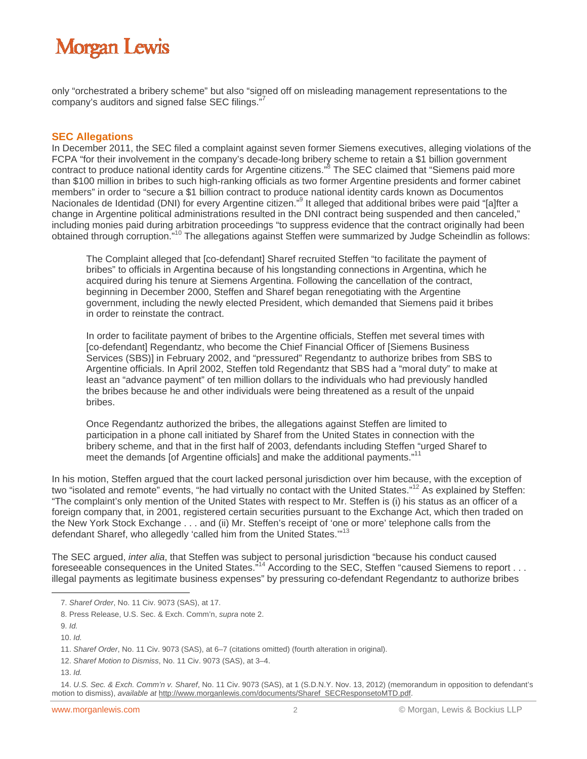only "orchestrated a bribery scheme" but also "signed off on misleading management representations to the company's auditors and signed false SEC filings."<sup>7</sup>

#### **SEC Allegations**

In December 2011, the SEC filed a complaint against seven former Siemens executives, alleging violations of the FCPA "for their involvement in the company's decade-long bribery scheme to retain a \$1 billion government contract to produce national identity cards for Argentine citizens."<sup>8</sup> The SEC claimed that "Siemens paid more than \$100 million in bribes to such high-ranking officials as two former Argentine presidents and former cabinet members" in order to "secure a \$1 billion contract to produce national identity cards known as Documentos Nacionales de Identidad (DNI) for every Argentine citizen."<sup>9</sup> It alleged that additional bribes were paid "[a]fter a change in Argentine political administrations resulted in the DNI contract being suspended and then canceled," including monies paid during arbitration proceedings "to suppress evidence that the contract originally had been obtained through corruption."10 The allegations against Steffen were summarized by Judge Scheindlin as follows:

The Complaint alleged that [co-defendant] Sharef recruited Steffen "to facilitate the payment of bribes" to officials in Argentina because of his longstanding connections in Argentina, which he acquired during his tenure at Siemens Argentina. Following the cancellation of the contract, beginning in December 2000, Steffen and Sharef began renegotiating with the Argentine government, including the newly elected President, which demanded that Siemens paid it bribes in order to reinstate the contract.

In order to facilitate payment of bribes to the Argentine officials, Steffen met several times with [co-defendant] Regendantz, who become the Chief Financial Officer of [Siemens Business Services (SBS)] in February 2002, and "pressured" Regendantz to authorize bribes from SBS to Argentine officials. In April 2002, Steffen told Regendantz that SBS had a "moral duty" to make at least an "advance payment" of ten million dollars to the individuals who had previously handled the bribes because he and other individuals were being threatened as a result of the unpaid bribes.

Once Regendantz authorized the bribes, the allegations against Steffen are limited to participation in a phone call initiated by Sharef from the United States in connection with the bribery scheme, and that in the first half of 2003, defendants including Steffen "urged Sharef to meet the demands [of Argentine officials] and make the additional payments."<sup>11</sup>

In his motion, Steffen argued that the court lacked personal jurisdiction over him because, with the exception of two "isolated and remote" events, "he had virtually no contact with the United States."<sup>12</sup> As explained by Steffen: "The complaint's only mention of the United States with respect to Mr. Steffen is (i) his status as an officer of a foreign company that, in 2001, registered certain securities pursuant to the Exchange Act, which then traded on the New York Stock Exchange . . . and (ii) Mr. Steffen's receipt of 'one or more' telephone calls from the defendant Sharef, who allegedly 'called him from the United States."<sup>13</sup>

The SEC argued, *inter alia*, that Steffen was subject to personal jurisdiction "because his conduct caused foreseeable consequences in the United States.<sup>"14</sup> According to the SEC, Steffen "caused Siemens to report . . . illegal payments as legitimate business expenses" by pressuring co-defendant Regendantz to authorize bribes

 $\overline{a}$ 

<sup>7.</sup> *Sharef Order*, No. 11 Civ. 9073 (SAS), at 17.

<sup>8.</sup> Press Release, U.S. Sec. & Exch. Comm'n, *supra* note 2.

<sup>9.</sup> *Id.* 

<sup>10.</sup> *Id.*

<sup>11.</sup> *Sharef Order*, No. 11 Civ. 9073 (SAS), at 6–7 (citations omitted) (fourth alteration in original).

<sup>12.</sup> *Sharef Motion to Dismiss*, No. 11 Civ. 9073 (SAS), at 3–4.

<sup>13.</sup> *Id.*

<sup>14.</sup> *U.S. Sec. & Exch. Comm'n v. Sharef*, No. 11 Civ. 9073 (SAS), at 1 (S.D.N.Y. Nov. 13, 2012) (memorandum in opposition to defendant's motion to dismiss), *available at* http://www.morganlewis.com/documents/Sharef\_SECResponsetoMTD.pdf.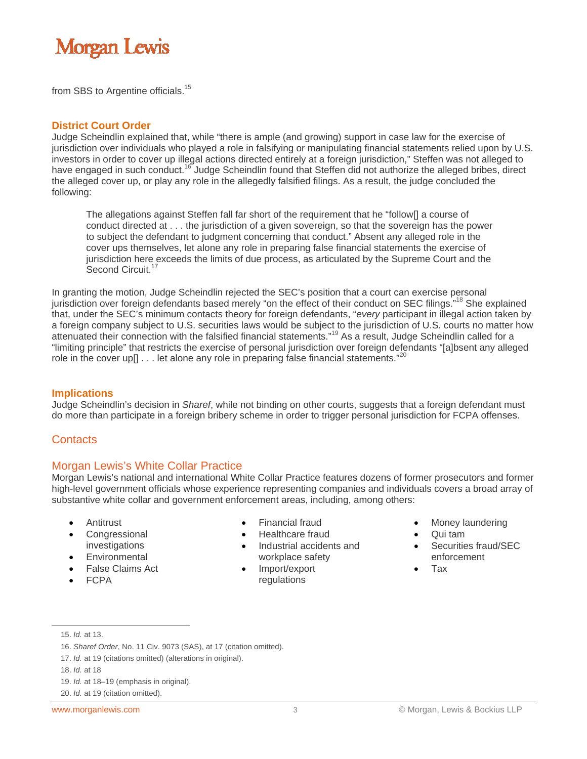from SBS to Argentine officials.15

#### **District Court Order**

Judge Scheindlin explained that, while "there is ample (and growing) support in case law for the exercise of jurisdiction over individuals who played a role in falsifying or manipulating financial statements relied upon by U.S. investors in order to cover up illegal actions directed entirely at a foreign jurisdiction," Steffen was not alleged to have engaged in such conduct.<sup>16</sup> Judge Scheindlin found that Steffen did not authorize the alleged bribes, direct the alleged cover up, or play any role in the allegedly falsified filings. As a result, the judge concluded the following:

The allegations against Steffen fall far short of the requirement that he "follow[] a course of conduct directed at . . . the jurisdiction of a given sovereign, so that the sovereign has the power to subject the defendant to judgment concerning that conduct." Absent any alleged role in the cover ups themselves, let alone any role in preparing false financial statements the exercise of jurisdiction here exceeds the limits of due process, as articulated by the Supreme Court and the Second Circuit.<sup>1</sup>

In granting the motion, Judge Scheindlin rejected the SEC's position that a court can exercise personal jurisdiction over foreign defendants based merely "on the effect of their conduct on SEC filings."<sup>18</sup> She explained that, under the SEC's minimum contacts theory for foreign defendants, "*every* participant in illegal action taken by a foreign company subject to U.S. securities laws would be subject to the jurisdiction of U.S. courts no matter how attenuated their connection with the falsified financial statements."19 As a result, Judge Scheindlin called for a "limiting principle" that restricts the exercise of personal jurisdiction over foreign defendants "[a]bsent any alleged role in the cover up[]  $\dots$  let alone any role in preparing false financial statements."<sup>20</sup>

#### **Implications**

Judge Scheindlin's decision in *Sharef*, while not binding on other courts, suggests that a foreign defendant must do more than participate in a foreign bribery scheme in order to trigger personal jurisdiction for FCPA offenses.

#### **Contacts**

#### Morgan Lewis's White Collar Practice

Morgan Lewis's national and international White Collar Practice features dozens of former prosecutors and former high-level government officials whose experience representing companies and individuals covers a broad array of substantive white collar and government enforcement areas, including, among others:

- Antitrust
- **Congressional** investigations
- **Environmental**
- False Claims Act
- FCPA
- 
- Financial fraud
- Healthcare fraud
	- Industrial accidents and workplace safety
- Import/export regulations
- Money laundering
- Qui tam
- Securities fraud/SEC enforcement
- Tax

 $\overline{a}$ 

19. *Id.* at 18–19 (emphasis in original).

<sup>15.</sup> *Id.* at 13.

<sup>16.</sup> *Sharef Order*, No. 11 Civ. 9073 (SAS), at 17 (citation omitted).

<sup>17.</sup> *Id.* at 19 (citations omitted) (alterations in original).

<sup>18.</sup> *Id.* at 18

<sup>20.</sup> *Id.* at 19 (citation omitted).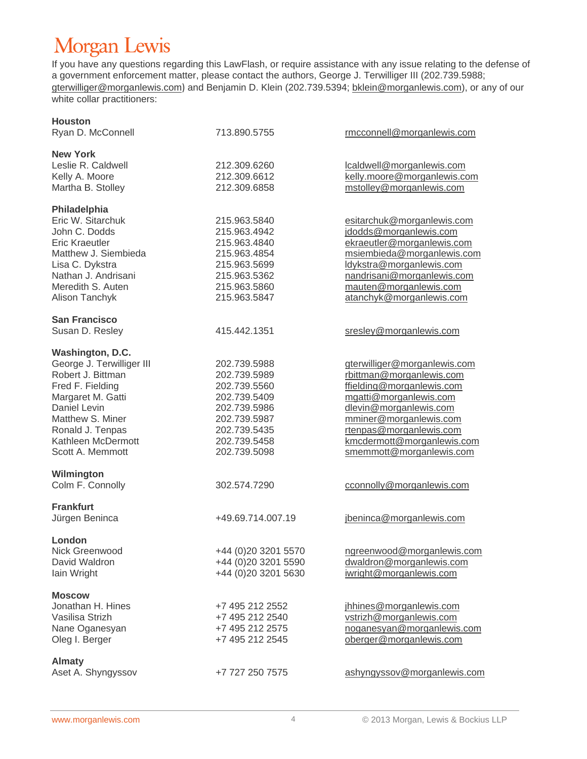If you have any questions regarding this LawFlash, or require assistance with any issue relating to the defense of a government enforcement matter, please contact the authors, George J. Terwilliger III (202.739.5988; gterwilliger@morganlewis.com) and Benjamin D. Klein (202.739.5394; bklein@morganlewis.com), or any of our white collar practitioners:

| <b>Houston</b>            |                     |                              |
|---------------------------|---------------------|------------------------------|
| Ryan D. McConnell         | 713.890.5755        | rmcconnell@morganlewis.com   |
| <b>New York</b>           |                     |                              |
| Leslie R. Caldwell        | 212.309.6260        | lcaldwell@morganlewis.com    |
| Kelly A. Moore            | 212.309.6612        | kelly.moore@morganlewis.com  |
| Martha B. Stolley         | 212.309.6858        | mstolley@morganlewis.com     |
| Philadelphia              |                     |                              |
| Eric W. Sitarchuk         | 215.963.5840        | esitarchuk@morganlewis.com   |
| John C. Dodds             | 215.963.4942        | jdodds@morganlewis.com       |
| <b>Eric Kraeutler</b>     | 215.963.4840        | ekraeutler@morganlewis.com   |
| Matthew J. Siembieda      | 215.963.4854        | msiembieda@morganlewis.com   |
| Lisa C. Dykstra           | 215.963.5699        | ldykstra@morganlewis.com     |
| Nathan J. Andrisani       | 215.963.5362        | nandrisani@morganlewis.com   |
| Meredith S. Auten         | 215.963.5860        | mauten@morganlewis.com       |
| Alison Tanchyk            | 215.963.5847        |                              |
|                           |                     | atanchyk@morganlewis.com     |
| <b>San Francisco</b>      |                     |                              |
| Susan D. Resley           | 415.442.1351        | sresley@morganlewis.com      |
| Washington, D.C.          |                     |                              |
| George J. Terwilliger III | 202.739.5988        | gterwilliger@morganlewis.com |
| Robert J. Bittman         | 202.739.5989        | rbittman@morganlewis.com     |
| Fred F. Fielding          | 202.739.5560        | ffielding@morganlewis.com    |
| Margaret M. Gatti         | 202.739.5409        | mgatti@morganlewis.com       |
| Daniel Levin              | 202.739.5986        | dlevin@morganlewis.com       |
| Matthew S. Miner          | 202.739.5987        | mminer@morganlewis.com       |
| Ronald J. Tenpas          | 202.739.5435        | rtenpas@morganlewis.com      |
| Kathleen McDermott        | 202.739.5458        | kmcdermott@morganlewis.com   |
| Scott A. Memmott          | 202.739.5098        | smemmott@morganlewis.com     |
| Wilmington                |                     |                              |
| Colm F. Connolly          | 302.574.7290        | cconnolly@morganlewis.com    |
| <b>Frankfurt</b>          |                     |                              |
| Jürgen Beninca            | +49.69.714.007.19   | jbeninca@morganlewis.com     |
| London                    |                     |                              |
| Nick Greenwood            | +44 (0)20 3201 5570 | ngreenwood@morganlewis.com   |
| David Waldron             | +44 (0)20 3201 5590 | dwaldron@morganlewis.com     |
| lain Wright               | +44 (0)20 3201 5630 | iwright@morganlewis.com      |
| <b>Moscow</b>             |                     |                              |
| Jonathan H. Hines         | +7 495 212 2552     | jhhines@morganlewis.com      |
| Vasilisa Strizh           | +7 495 212 2540     | vstrizh@morganlewis.com      |
| Nane Oganesyan            | +7 495 212 2575     | noganesyan@morganlewis.com   |
| Oleg I. Berger            | +7 495 212 2545     | oberger@morganlewis.com      |
| <b>Almaty</b>             |                     |                              |
| Aset A. Shyngyssov        | +7 727 250 7575     | ashyngyssov@morganlewis.com  |
|                           |                     |                              |